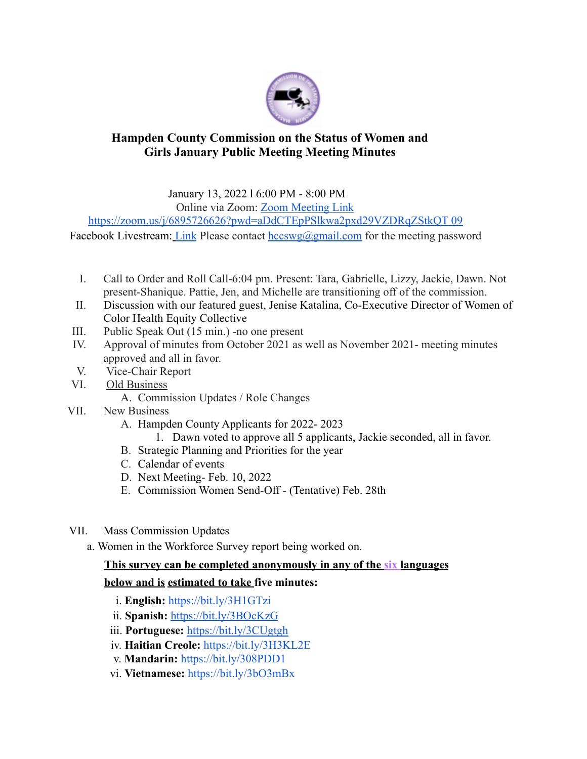

## **Hampden County Commission on the Status of Women and Girls January Public Meeting Meeting Minutes**

January 13, 2022 l 6:00 PM - 8:00 PM

Online via Zoom: Zoom Meeting Link

https://zoom.us/j/6895726626?pwd=aDdCTEpPSlkwa2pxd29VZDRqZStkQT 09

Facebook Livestream: Link Please contact  $hccswg@gmail.com$  for the meeting password

- I. Call to Order and Roll Call-6:04 pm. Present: Tara, Gabrielle, Lizzy, Jackie, Dawn. Not present-Shanique. Pattie, Jen, and Michelle are transitioning off of the commission.
- II. Discussion with our featured guest, Jenise Katalina, Co-Executive Director of Women of Color Health Equity Collective
- III. Public Speak Out (15 min.) -no one present
- IV. Approval of minutes from October 2021 as well as November 2021- meeting minutes approved and all in favor.
- V. Vice-Chair Report
- VI. Old Business
	- A. Commission Updates / Role Changes
- VII. New Business
	- A. Hampden County Applicants for 2022- 2023
		- 1. Dawn voted to approve all 5 applicants, Jackie seconded, all in favor.
	- B. Strategic Planning and Priorities for the year
	- C. Calendar of events
	- D. Next Meeting- Feb. 10, 2022
	- E. Commission Women Send-Off (Tentative) Feb. 28th
- VII. Mass Commission Updates
	- a. Women in the Workforce Survey report being worked on.

## **This survey can be completed anonymously in any of the six languages**

## **below and is estimated to take five minutes:**

- i. **English:** https://bit.ly/3H1GTzi
- ii. **Spanish:** https://bit.ly/3BOcKzG
- iii. **Portuguese:** https://bit.ly/3CUgtgh
- iv. **Haitian Creole:** https://bit.ly/3H3KL2E
- v. **Mandarin:** https://bit.ly/308PDD1
- vi. **Vietnamese:** https://bit.ly/3bO3mBx